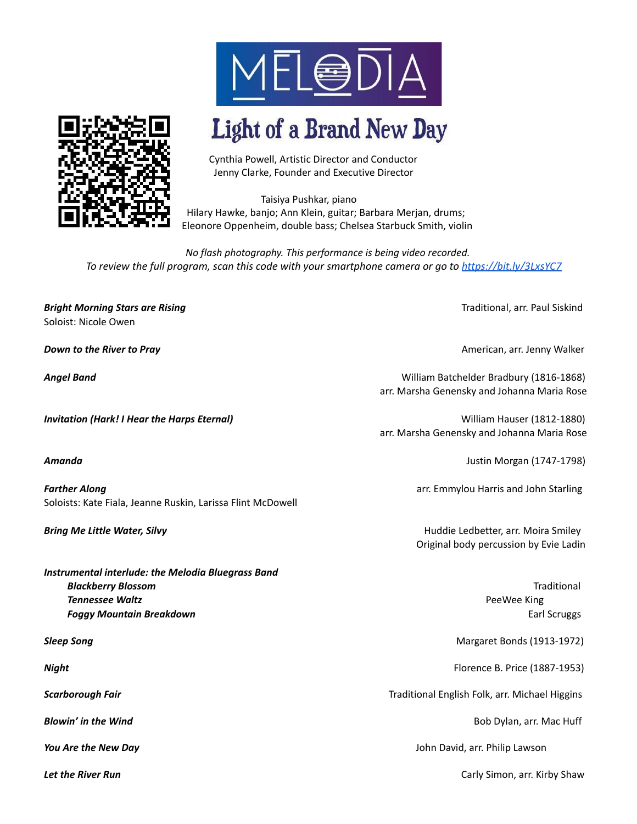

## **Light of a Brand New Day**

Cynthia Powell, Artistic Director and Conductor Jenny Clarke, Founder and Executive Director

Taisiya Pushkar, piano Hilary Hawke, banjo; Ann Klein, guitar; Barbara Merjan, drums; Eleonore Oppenheim, double bass; Chelsea Starbuck Smith, violin

*No flash photography. This performance is being video recorded. To review the full program, scan this code with your smartphone camera or go to <https://bit.ly/3LxsYC7>*

**Bright Morning Stars are Rising Traditional, and Siskind Stars are Rising Traditional, arr. Paul Siskind and Siskind** Soloist: Nicole Owen

**Farther Along** *Farther Along* **arr.** Emmylou Harris and John Starling Soloists: Kate Fiala, Jeanne Ruskin, Larissa Flint McDowell

*Instrumental interlude: the Melodia Bluegrass Band Blackberry Blossom* Traditional **Tennessee Waltz** PeeWee King **Foggy Mountain Breakdown** Earl Scruggs and Earl Scruggs and Earl Scruggs and Earl Scruggs and Earl Scruggs and Earl Scruggs and Earl Scruggs and Earl Scruggs and Earl Scruggs and Earl Scruggs and Earl Scruggs and Earl Scr

*Down to the River to Pray* American, arr. Jenny Walker

*Angel Band* William Batchelder Bradbury (1816-1868) arr. Marsha Genensky and Johanna Maria Rose

*Invitation (Hark! I Hear the Harps Eternal)* William Hauser (1812-1880) arr. Marsha Genensky and Johanna Maria Rose

*Amanda* Justin Morgan (1747-1798)

**Bring Me Little Water, Silvy Huddie Ledbetter, arr. Moira Smiley Huddie Ledbetter, arr. Moira Smiley** Original body percussion by Evie Ladin

**Sleep Song** Margaret Bonds (1913-1972)

*Night* Florence B. Price (1887-1953)

*Scarborough Fair* Traditional English Folk, arr. Michael Higgins

**Blowin' in the Wind Bob Dylan, arr. Mac Huff** 

*You Are the New Day* John David, arr. Philip Lawson

**Let the River Run** Carly Simon, arr. Kirby Shaw